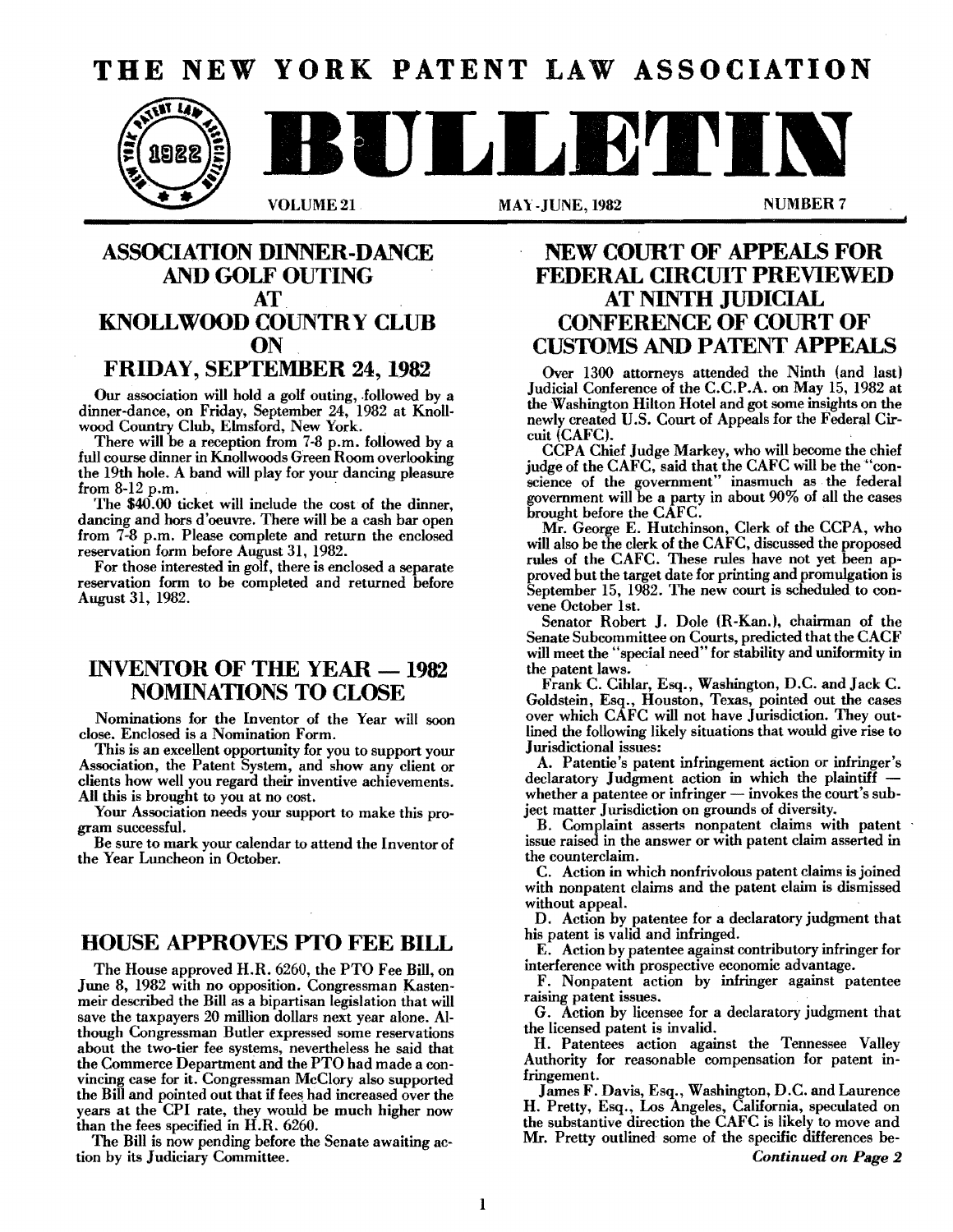# **THE NEW YORK PATENT LAW ASSOCIATION**



**A** 

VOLUME 21 MAY -JUNE, 1982 MUMBER 7

## **ASSOCIATION DINNER-DANCE** AND GOLF **OUTING AT KNOLLWOOD COUNTRY CLUB ON**

## **FRIDAY, SEPTEMBER 24,1982**

Our association will hold a golf outing, followed by a dinner-dance, on Friday, September 24, 1982 at Knoll-

wood Country Club, Elmsford, New York. . There will be a reception from 7-8 p.m. followed by a full course dinner in Knollwoods Green Room overlooking the 19th hole. A band will play for your dancing pleasure from  $8-12$  p.m.

The \$40.00 ticket will include the cost of the dinner, dancing and bors d'oeuvre. There will be a cash bar open from 7-8 p.m. Please complete and return the enclosed reservation form before August 31, 1982.

For those interested in golf, there is enclosed a separate reservation form to be completed and returned before August 31, 1982.

## **INVENTOR OF THE YEAR - 1982 NOMINATIONS TO CLOSE**

Nominations for the Inventor of the Year will soon close. Enclosed is a Nomination Form.

This is an excellent opportunity for you to support your Association, the Patent System, and show any client or clients how well you regard their inventive achievements. All this is brought to you at no cost.

Your Association needs your support to make this program successful.

Be sure to mark your calendar to attend the Inventor of the Year Luncheon in October.

## **HOUSE APPROVES PTO FEE BILL**

The House approved H.R. 6260, the PTO Fee Bill, on June 8, 1982 with no opposition. Congressman Kastenmeir described the Bill as a bipartisan legislation that will save the taxpayers 20 million dollars next year alone. Although Congressman Butler expressed some reservations about the two-tier fee systems, nevertheless he said that the Commerce Department and the PTO had made a convincing case for it. Congressman McClory also supported the Bill and pointed out that if fees had increased over the years at the CPI rate, they would be much higher now than the fees specified in H.R. 6260.

The Bill is now pending before the Senate awaiting action hy its Judiciary Committee.

## **NEW COURT OF APPEALS FOR FEDERAL CIRCllT PREVIEWED AT NINTH JUDICIAL CONFERENCE OF COURT OF CUSTOMS AND PATENT APPEALS**

Over 1300 attorneys attended the Ninth (and last) Judicial Conference of the C.C.P.A. on May 15, 1982 at the Washington Hilton Hotel and got some insights on the newly created U.S. Court of Appeals for the Federal Circuit (CAFC).

CCPA Chief Judge Markey, who will become the chief judge of the CAFC, said that the CAFC will be the "conscience of the government" inasmuch as the federal government will be a party in about 90% of all the cases brought before the CAFC.

Mr. George E. Hutchinson, Clerk of the CCPA, who will also be the clerk of the CAFC, discussed the proposed rules of the CAFC. These rules have not yet been approved but the target date for printing and promulgation is September 15, 1982. The new court is scheduled to convene October 1st.

Senator Robert J. Dole (H-Kan.), chairman of the Senate Suhcommittee on Courts, predicted that the CACF will meet the "special need" for stahility and uniformity in the patent laws.

Frank C. Cihlar, Esq., Washington, D.C. and Jack C. Goldstein, Esq., Houston, Texas, pointed out the cases over which CAFC will not have Jurisdiction. They outlined the following likely situations that would give rise to Jurisdictional issues:

A. Patentie's patent infringement action or infringer's declaratory Judgment action in which the plaintiff  $-$  whether a patentee or infringer  $-$  invokes the court's subject matter Jurisdiction on grounds of diversity.

B. Complaint asserts nonpatent claims with patent issue raised in the answer or with patent claim asserted in the counterclaim.

C. Action in which nonfrivolous patent claims is joined with nonpatent claims and the patent claim is dismissed without appeal.

D. Action by patentee for a declaratory judgment that his patent is valid and infringed.

E. Action by patentee against contributory infringer for interference with prospective economic advantage.

F. Nonpatent action by infringer against patentee raising patent issues. .

G. Action by licensee for a declaratory judgment that the licensed patent is invalid.

H. Patentees action against the Tennessee Valley Authority for reasonable compensation for patent infringement.

James F. Davis, Esq., Washington, D.C. and Laurence H. Pretty, Esq., Los Angeles, California, speculated on the substantive direction the CAFC is likely to move and Mr. Pretty outlined some of the specific differences be-*Continued on Page 2*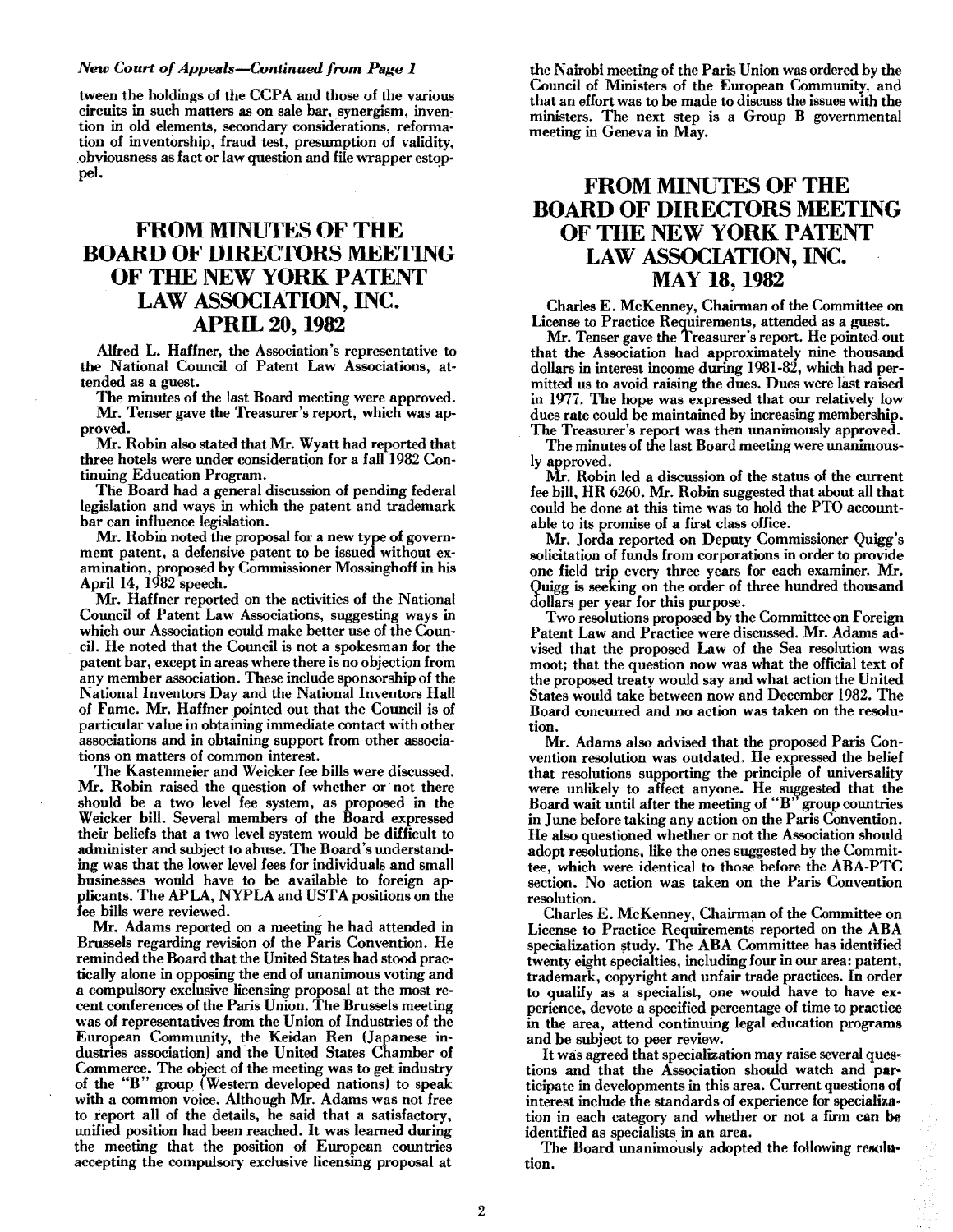## *New Court ofAppeals-Continued from Page 1*

tween the holdings of the CCPA and those of the various circuits in such matters as on sale bar, synergism, inven~ tion in old elements, secondary considerations, reformation of inventorship, fraud test, presumption of validity, obviousness as fact or law question and file wrapper estoppel.

## FROM MINUTES OF THE BOARD OF DIRECTORS MEETING OF THE NEW YORK PATENT LAW ASSOCIATION, INC. APRIL 20, 1982

Alfred L. Haffner, the Association's representative to the National Council of Patent Law Associations, attended as a guest.

The minutes of the last Board meeting were approved. Mr. Tenser gave the Treasurer's report, which was approved.

Mr. Robin also stated that Mr. Wyatt had reported that three hotels were under consideration for a fall 1982 Continuing Education Program. .

The Board had a general discussion of pending federal legislation and ways in which the patent and trademark bar can influence legislation.

Mr. Robin noted the proposal for a new type of government patent, a defensive patent to be issued without examination, proposed by Commissioner Mossinghoff in his April 14, 1982 speech.

Mr. Haffner reported on the activities of the National Council of Patent Law Associations, suggesting ways in which our Association could make better use of the Council. He noted that the Council is not a spokesman for the patent bar, except in areas where there is no objection from any member association. These include sponsorship of the National Inventors Day and the National Inventors Hall of Fame. Mr. Haffner pointed out that the Council is of particular value in obtaining immediate contact with other associations and in obtaining support from other associa· tions on matters of common interest.

The Kastenmeier and Weicker fee bills were discussed. Mr. Robin raised the question of whether or' not there should be a two level fee system, as proposed in the Weicker bill. Several members of the Board expressed their beliefs that a two level system would be difficult to administer and subject to abuse. The Board's understanding was that the lower level fees for individuals and small businesses would have to be available to foreign applicants. The APLA, NYPLA and USTA positions on the fee bills were reviewed.

Mr. Adams reported on a meeting he had attended in Brussels regarding revision of the Paris Convention. He reminded the Board that the United States had stood practically alone in opposing the end of unanimous voting and a compulsory exclusive licensing proposal at the most recent conferences of the Paris Union. The Brussels meeting was of representatives from the Union of Industries of the European Community, the Keidan Ren (Japanese industries association) and the United States Chamber of Commerce. The object of the meeting was to get industry of the "B" group (Western developed nations) to speak with a common voice. Although Mr. Adams was not free to report all of the details, he said that a satisfactory, unified position had been reached. It was learned during the meeting that the position of European countries accepting the compulsory exclusive licensing proposal at

the Nairobi meeting of the Paris Union was ordered by the Council of Ministers of the European Community, and that an effort was to be made to discuss the issues with the ministers. The next step is a Group B governmental meeting in Geneva in May.

## FROM MINUTES OF THE BOARD OF DIRECTORS MEETING OF THE NEW YORK PATENT LAW ASSOCIATION, INC. MAY 18,1982

Charles E. McKenney, Chairman of the Committee on License to Practice Requirements, attended as a guest.

Mr. Tenser gave the Treasurer's report. He pointed out that the Association had approximately nine thousand dollars in interest income during 1981-82, which had permitted us to avoid raising the dues. Dues were last raised in 1977. The hope was expressed that our relatively low dues rate could be maintained by increasing membership. The Treasurer's report was then unanimously approved.

The minutes of the last Board meeting were unanimously approved.

Mr. Robin led a discussion of the status of the current fee bill, HR 6260. Mr. Robin suggested that about all that could be done at this time was to hold the PTO accountable to its promise of a first class office.

Mr. Jorda reported on Deputy Commissioner Quigg's solicitation of funds from corporations in order to provide one field trip every three years for each examiner. Mr. Quigg is seeking on the order of three hundred thousand dollars per year for this purpose.

Two resolutions proposed by the Committee on Foreign Patent Law and Practice were discussed. Mr. Adams advised that the proposed Law of the Sea resolution was moot; that the question now was what the official text of the proposed treaty would say and what action the United States would take between now and December 1982. The Board concurred and no action was taken on the resolution.

Mr. Adams also advised that the proposed Paris Convention resolution was outdated. He expressed the belief that resolutions supporting the principle of universality were unlikely to affect anyone. He suggested that the Board wait until after the meeting of "B' group countries in June before taking any action on the Paris Convention. He also questioned whether or not the Association should adopt resolutions, like the ones suggested by the Committee, which were identical to those before the ABA-PTC section. No action was taken on the Paris Convention resolution.

Charles E. McKenney, Chairman of the Committee on License to Practice Requirements reported on the ABA specialization study. The ABA Committee has identified twenty eight specialties, including four in our area: patent, trademark, copyright and unfair trade practices. In order to qualify as a specialist, one would have to have experience, devote a specified percentage of time to practice in the area, attend continuing legal education programs and be subject to peer review.

It was agreed that specialization may raise several questions and that the Association should watch and participate in developments in this area. Current questions of interest include the standards of experience for specialization in each category and whether or not a fIrm can be identified as specialists in an area.

The Board unanimously adopted the following resolu· tion.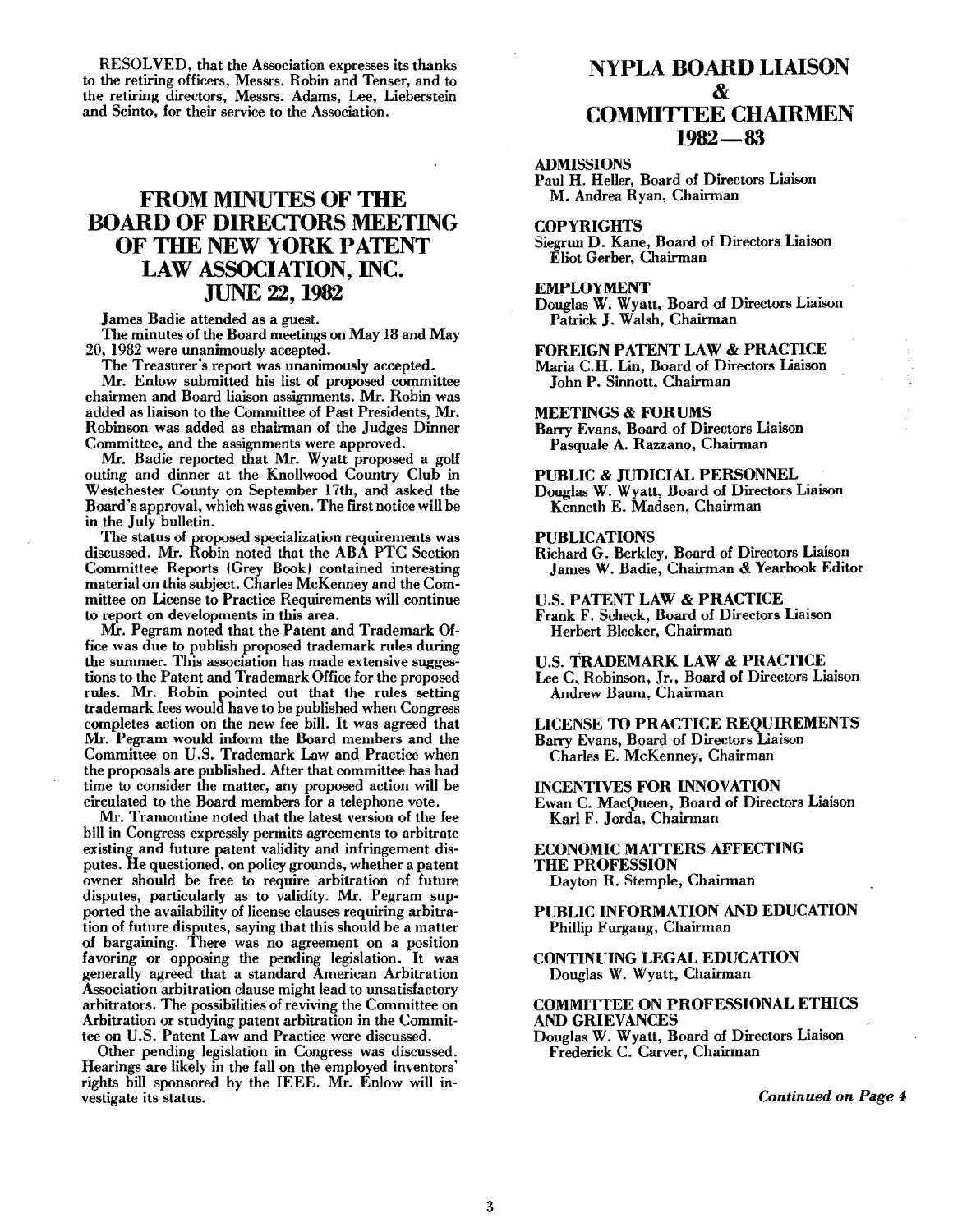RESOLVED, that the Association expresses its thanks to the retiring officers, Messrs. Robin and Tenser, and to the retiring directors, Messrs. Adams, Lee, Lieberstein and Scinto, for their service to the Association.

## **FROM MINUTES OF THE** BOARD OF DIRECTORS MEETING OF THE NEW YORK PATENT LAW ASSOCIATION, INC. JUNE 22, 1982

James Badie attended as a guest.

The minutes of the Board meetings on May 18 and May 20, 1982 were unanimously accepted.

The Treasurer's report was unanimously accepted.

Mr. Enlow submitted his list of proposed committee chairmen and Board liaison assignments. Mr. Robin was added as liaison to the Committee of Past Presidents, Mr. Robinson was added as chairman of the Judges Dinner Committee, and the assignments were approved.

Mr. Badie reported that Mr. Wyatt proposed a golf outing and dinner at the Knollwood Country Club in Westchester County on September 17th, and asked the Board's approval, which was given. The first notice will be in the July bulletin.

The status of proposed specialization requirements was discussed. Mr. Robin noted that the ABA PTC Section Committee Reports (Grey Book) contained interesting material on this subject. Charles McKenney and the Committee on License to Practice Requirements will continue to report on developments in this area.

Mr. Pegram noted that the Patent and Trademark Office was due to publish proposed trademark rules during the summer. This association has made extensive suggestions to the Patent and Trademark Office for the proposed rules. Mr. Robin pointed out that the rules setting trademark fees would have to be published when Congress completes action on the new fee bill. It was agreed that Mr. Pegram would inform the Board members and the Committee on U.S. Trademark Law and Practice when the proposals are published. After that committee has had time to consider the matter, any proposed action will be circulated to the Board members for a telephone vote.

Mr. Tramontine noted that the latest version of the fee bill in Congress expressly permits agreements to arbitrate existing and future patent validity and infringement disputes. He questioned, on policy grounds, whether a patent owner should be free to require arbitration of future disputes, particularly as to validity. Mr. Pegram supported the availability of license clauses requiring arbitration of future disputes, saying that this should be a matter of bargaining. There was no agreement on a position favoring or opposing the pending legislation. It was generally agreed that a standard American Arbitration Association arbitration clause might lead to unsatisfactory arbitrators. The possibilities of reviving the Committee on Arbitration or studying patent arbitration in the Committee on U.S. Patent Law and Practice were discussed.

Other pending legislation in Congress was discussed. Hearings are likely in the fall on the employed inventors' rights bill sponsored by the IEEE. Mr. Enlow will investigate its status.

## NYPLA BOARD LIAISON & COMMITfEE CHAIRMEN 1982-83

## ADMISSIONS

Paul H. Heller, Board of Directors Liaison M. Andrea Ryan, Chairman

#### **COPYRIGHTS**

Siegrun D. Kane, Board of Directors Liaison Eliot Gerber, Chairman

#### EMPLOYMENT

Douglas W. Wyatt, Board of Directors Liaison Patrick J. Walsh, Chairman

FOREIGN PATENT LAW & PRACTICE Maria C.H. Lin, Board of Directors Liaison John P. Sinnott, Chairman

## MEETINGS & FORUMS

Barry Evans, Board of Directors Liaison Pasquale A. Razzano, Chairman

PUBLIC & JUDICIAL PERSONNEL Douglas W. Wyatt, Board of Directors Liaison Kenneth E. Madsen, Chairman

#### PUBLICATIONS

Richard G. Berkley, Board of Directors Liaison James W. Badie, Chairman & Yearbook Editor

U.S. PATENT LAW & PRACTICE

Frank F. Scheck, Board of Directors Liaison Herbert Blecker, Chairman

U.S. TRADEMARK LAW & PRACTICE

Lee C. Robinson, Jr., Board of Directors Liaison Andrew Baum, Chairman

LICENSE TO PRACTICE REQUIREMENTS Barry Evans, Board of Directors Liaison Charles E. McKenney, Chairman

INCENTIVES FOR INNOVATION Ewan C. MacQueen, Board of Directors Liaison Karl F. Jorda, Chairman

## ECONOMIC MATTERS AFFECTING THE PROFESSION Dayton R. Stemple, Chairman

PUBLIC INFORMATION AND EDUCATION

Phillip Furgang, Chairman

CONTINUING LEGAL EDUCATION Douglas W. Wyatt, Chairman

## COMMITTEE ON PROFESSIONAL ETHICS AND GRIEVANCES

Douglas W. Wyatt, Board of Directors Liaison Frederick C. Carver, Chairman

*Continued on Page 4,*